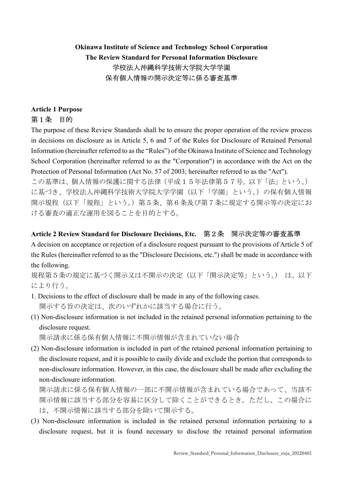# Okinawa Institute of Science and Technology School Corporation The Review Standard for Personal Information Disclosure 学校法人沖縄科学技術大学院大学学園 保有個人情報の開示決定等に係る審査基準

## Article 1 Purpose 第1条 目的

The purpose of these Review Standards shall be to ensure the proper operation of the review process in decisions on disclosure as in Article 5, 6 and 7 of the Rules for Disclosure of Retained Personal Information (hereinafter referred to as the "Rules") of the Okinawa Institute of Science and Technology School Corporation (hereinafter referred to as the "Corporation") in accordance with the Act on the Protection of Personal Information (Act No. 57 of 2003; hereinafter referred to as the "Act").

この基準は、個人情報の保護に関する法律(平成15年法律第57号。以下「法」という。) に基づき、学校法人沖縄科学技術大学院大学学園(以下「学園」という。)の保有個人情報 開示規程(以下「規程」という。)第5条、第6条及び第7条に規定する開示等の決定にお ける審査の適正な運用を図ることを目的とする。

### Article 2 Review Standard for Disclosure Decisions, Etc. 第2条 開示決定等の審査基準

A decision on acceptance or rejection of a disclosure request pursuant to the provisions of Article 5 of the Rules (hereinafter referred to as the "Disclosure Decisions, etc.") shall be made in accordance with the following.

規程第5条の規定に基づく開示又は不開示の決定(以下「開示決定等」という。) は、以下 により行う。

- 1. Decisions to the effect of disclosure shall be made in any of the following cases. 開示する旨の決定は、次のいずれかに該当する場合に行う。
- (1) Non-disclosure information is not included in the retained personal information pertaining to the disclosure request.

開示請求に係る保有個人情報に不開示情報が含まれていない場合

(2) Non-disclosure information is included in part of the retained personal information pertaining to the disclosure request, and it is possible to easily divide and exclude the portion that corresponds to non-disclosure information. However, in this case, the disclosure shall be made after excluding the non-disclosure information.

開示請求に係る保有個人情報の一部に不開示情報が含まれている場合であって、当該不 開示情報に該当する部分を容易に区分して除くことができるとき。ただし、この場合に は、不開示情報に該当する部分を除いて開示する。

(3) Non-disclosure information is included in the retained personal information pertaining to a disclosure request, but it is found necessary to disclose the retained personal information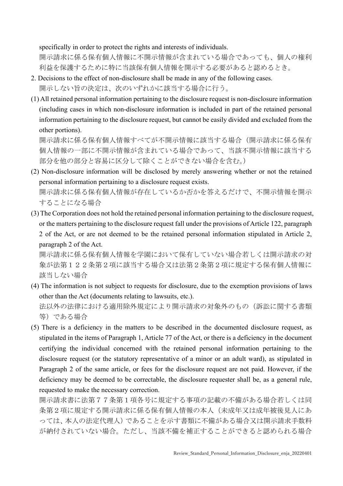specifically in order to protect the rights and interests of individuals.

開示請求に係る保有個人情報に不開示情報が含まれている場合であっても、個人の権利 利益を保護するために特に当該保有個人情報を開示する必要があると認めるとき。

- 2. Decisions to the effect of non-disclosure shall be made in any of the following cases. 開示しない旨の決定は、次のいずれかに該当する場合に行う。
- (1) All retained personal information pertaining to the disclosure request is non-disclosure information (including cases in which non-disclosure information is included in part of the retained personal information pertaining to the disclosure request, but cannot be easily divided and excluded from the other portions).

開示請求に係る保有個人情報すべてが不開示情報に該当する場合(開示請求に係る保有 個人情報の一部に不開示情報が含まれている場合であって、当該不開示情報に該当する 部分を他の部分と容易に区分して除くことができない場合を含む。)

- (2) Non-disclosure information will be disclosed by merely answering whether or not the retained personal information pertaining to a disclosure request exists. 開示請求に係る保有個人情報が存在しているか否かを答えるだけで、不開示情報を開示 することになる場合
- (3) The Corporation does not hold the retained personal information pertaining to the disclosure request, or the matters pertaining to the disclosure request fall under the provisions of Article 122, paragraph 2 of the Act, or are not deemed to be the retained personal information stipulated in Article 2, paragraph 2 of the Act.

開示請求に係る保有個人情報を学園において保有していない場合若しくは開示請求の対 象が法第122条第2項に該当する場合又は法第2条第2項に規定する保有個人情報に 該当しない場合

(4) The information is not subject to requests for disclosure, due to the exemption provisions of laws other than the Act (documents relating to lawsuits, etc.). 法以外の法律における適用除外規定により開示請求の対象外のもの(訴訟に関する書類

等)である場合

(5) There is a deficiency in the matters to be described in the documented disclosure request, as stipulated in the items of Paragraph 1, Article 77 of the Act, or there is a deficiency in the document certifying the individual concerned with the retained personal information pertaining to the disclosure request (or the statutory representative of a minor or an adult ward), as stipulated in Paragraph 2 of the same article, or fees for the disclosure request are not paid. However, if the deficiency may be deemed to be correctable, the disclosure requester shall be, as a general rule, requested to make the necessary correction.

開示請求書に法第77条第1項各号に規定する事項の記載の不備がある場合若しくは同 条第2項に規定する開示請求に係る保有個人情報の本人(未成年又は成年被後見人にあ っては、本人の法定代理人)であることを示す書類に不備がある場合又は開示請求手数料 が納付されていない場合。ただし、当該不備を補正することができると認められる場合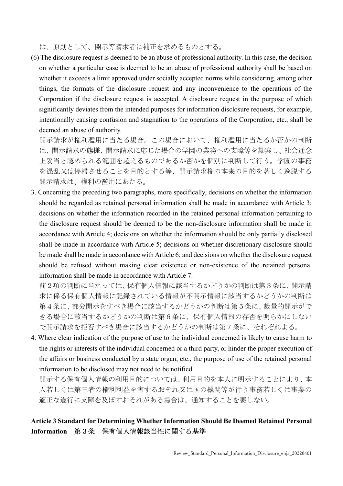は、原則として、開示等請求者に補正を求めるものとする。

(6) The disclosure request is deemed to be an abuse of professional authority. In this case, the decision on whether a particular case is deemed to be an abuse of professional authority shall be based on whether it exceeds a limit approved under socially accepted norms while considering, among other things, the formats of the disclosure request and any inconvenience to the operations of the Corporation if the disclosure request is accepted. A disclosure request in the purpose of which significantly deviates from the intended purposes for information disclosure requests, for example, intentionally causing confusion and stagnation to the operations of the Corporation, etc., shall be deemed an abuse of authority.

開示請求が権利濫用に当たる場合。この場合において、権利濫用に当たるか否かの判断 は、開示請求の態様、開示請求に応じた場合の学園の業務への支障等を勘案し、社会通念 上妥当と認められる範囲を超えるものであるか否かを個別に判断して行う。学園の事務 を混乱又は停滞させることを目的とする等、開示請求権の本来の目的を著しく逸脱する 開示請求は、権利の濫用にあたる。

3. Concerning the preceding two paragraphs, more specifically, decisions on whether the information should be regarded as retained personal information shall be made in accordance with Article 3; decisions on whether the information recorded in the retained personal information pertaining to the disclosure request should be deemed to be the non-disclosure information shall be made in accordance with Article 4; decisions on whether the information should be only partially disclosed shall be made in accordance with Article 5; decisions on whether discretionary disclosure should be made shall be made in accordance with Article 6; and decisions on whether the disclosure request should be refused without making clear existence or non-existence of the retained personal information shall be made in accordance with Article 7.

前2項の判断に当たっては、保有個人情報に該当するかどうかの判断は第3条に、開示請 求に係る保有個人情報に記録されている情報が不開示情報に該当するかどうかの判断は 第4条に、部分開示をすべき場合に該当するかどうかの判断は第5条に、裁量的開示がで きる場合に該当するかどうかの判断は第6条に、保有個人情報の存否を明らかにしない で開示請求を拒否すべき場合に該当するかどうかの判断は第7条に、それぞれよる。

4. Where clear indication of the purpose of use to the individual concerned is likely to cause harm to the rights or interests of the individual concerned or a third party, or hinder the proper execution of the affairs or business conducted by a state organ, etc., the purpose of use of the retained personal information to be disclosed may not need to be notified.

開示する保有個人情報の利用目的については、利用目的を本人に明示することにより、本 人若しくは第三者の権利利益を害するおそれ又は国の機関等が行う事務若しくは事業の 適正な遂行に支障を及ぼすおそれがある場合は、通知することを要しない。

### Article 3 Standard for Determining Whether Information Should Be Deemed Retained Personal Information 第3条 保有個人情報該当性に関する基準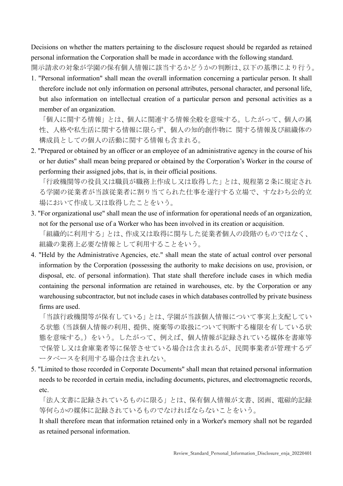Decisions on whether the matters pertaining to the disclosure request should be regarded as retained personal information the Corporation shall be made in accordance with the following standard. 開示請求の対象が学園の保有個人情報に該当するかどうかの判断は、以下の基準により行う。

1. "Personal information" shall mean the overall information concerning a particular person. It shall therefore include not only information on personal attributes, personal character, and personal life, but also information on intellectual creation of a particular person and personal activities as a member of an organization.

「個人に関する情報」とは、個人に関連する情報全般を意味する。したがって、個人の属 性、人格や私生活に関する情報に限らず、個人の知的創作物に 関する情報及び組織体の 構成員としての個人の活動に関する情報も含まれる。

2. "Prepared or obtained by an officer or an employee of an administrative agency in the course of his or her duties" shall mean being prepared or obtained by the Corporation's Worker in the course of performing their assigned jobs, that is, in their official positions.

「行政機関等の役員又は職員が職務上作成し又は取得した」とは、規程第2条に規定され る学園の従業者が当該従業者に割り当てられた仕事を遂行する立場で、すなわち公的立 場において作成し又は取得したことをいう。

- 3. "For organizational use" shall mean the use of information for operational needs of an organization, not for the personal use of a Worker who has been involved in its creation or acquisition. 「組織的に利用する」とは、作成又は取得に関与した従業者個人の段階のものではなく、 組織の業務上必要な情報として利用することをいう。
- 4. "Held by the Administrative Agencies, etc." shall mean the state of actual control over personal information by the Corporation (possessing the authority to make decisions on use, provision, or disposal, etc. of personal information). That state shall therefore include cases in which media containing the personal information are retained in warehouses, etc. by the Corporation or any warehousing subcontractor, but not include cases in which databases controlled by private business firms are used.

「当該行政機関等が保有している」とは、学園が当該個人情報について事実上支配してい る状態(当該個人情報の利用、提供、廃棄等の取扱について判断する権限を有している状 態を意味する。)をいう。したがって、例えば、個人情報が記録されている媒体を書庫等 で保管し又は倉庫業者等に保管させている場合は含まれるが、民間事業者が管理するデ ータベースを利用する場合は含まれない。

5. "Limited to those recorded in Corporate Documents" shall mean that retained personal information needs to be recorded in certain media, including documents, pictures, and electromagnetic records, etc.

「法人文書に記録されているものに限る」とは、保有個人情報が文書、図画、電磁的記録 等何らかの媒体に記録されているものでなければならないことをいう。

It shall therefore mean that information retained only in a Worker's memory shall not be regarded as retained personal information.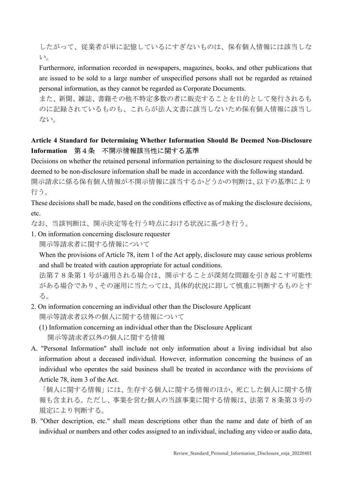したがって、従業者が単に記憶しているにすぎないものは、保有個人情報には該当しな い。

Furthermore, information recorded in newspapers, magazines, books, and other publications that are issued to be sold to a large number of unspecified persons shall not be regarded as retained personal information, as they cannot be regarded as Corporate Documents.

また、新聞、雑誌、書籍その他不特定多数の者に販売することを目的として発行されるも のに記録されているものも、これらが法人文書に該当しないため保有個人情報に該当し ない。

### Article 4 Standard for Determining Whether Information Should Be Deemed Non-Disclosure Information 第4条 不開示情報該当性に関する基準

Decisions on whether the retained personal information pertaining to the disclosure request should be deemed to be non-disclosure information shall be made in accordance with the following standard.

開示請求に係る保有個人情報が不開示情報に該当するかどうかの判断は、以下の基準により 行う。

These decisions shall be made, based on the conditions effective as of making the disclosure decisions, etc.

なお、当該判断は、開示決定等を行う時点における状況に基づき行う。

1. On information concerning disclosure requester 開示等請求者に関する情報について

When the provisions of Article 78, item 1 of the Act apply, disclosure may cause serious problems and shall be treated with caution appropriate for actual conditions.

法第78条第1号が適用される場合は、開示することが深刻な問題を引き起こす可能性 がある場合であり、その運用に当たっては、具体的状況に即して慎重に判断するものとす る。

- 2. On information concerning an individual other than the Disclosure Applicant 開示等請求者以外の個人に関する情報について
	- (1) Information concerning an individual other than the Disclosure Applicant 開示等請求者以外の個人に関する情報
- A. "Personal Information" shall include not only information about a living individual but also information about a deceased individual. However, information concerning the business of an individual who operates the said business shall be treated in accordance with the provisions of Article 78, item 3 of the Act.

「個人に関する情報」には、生存する個人に関する情報のほか、死亡した個人に関する情 報も含まれる。ただし、事業を営む個人の当該事業に関する情報は、法第78条第3号の 規定により判断する。

B. "Other description, etc." shall mean descriptions other than the name and date of birth of an individual or numbers and other codes assigned to an individual, including any video or audio data,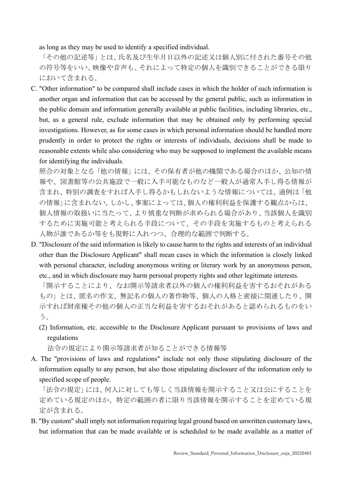as long as they may be used to identify a specified individual.

「その他の記述等」とは、氏名及び生年月日以外の記述又は個人別に付された番号その他 の符号等をいい、映像や音声も、それによって特定の個人を識別できることができる限り において含まれる。

C. "Other information" to be compared shall include cases in which the holder of such information is another organ and information that can be accessed by the general public, such as information in the public domain and information generally available at public facilities, including libraries, etc., but, as a general rule, exclude information that may be obtained only by performing special investigations. However, as for some cases in which personal information should be handled more prudently in order to protect the rights or interests of individuals, decisions shall be made to reasonable extents while also considering who may be supposed to implement the available means for identifying the individuals.

照合の対象となる「他の情報」には、その保有者が他の機関である場合のほか、公知の情 報や、図書館等の公共施設で一般に入手可能なものなど一般人が通常入手し得る情報が 含まれ、特別の調査をすれば入手し得るかもしれないような情報については、通例は「他 の情報」に含まれない。しかし、事案によっては、個人の権利利益を保護する観点からは、 個人情報の取扱いに当たって、より慎重な判断が求められる場合があり、当該個人を識別 するために実施可能と考えられる手段について、その手段を実施するものと考えられる 人物が誰であるか等をも視野に入れつつ、合理的な範囲で判断する。

D. "Disclosure of the said information is likely to cause harm to the rights and interests of an individual other than the Disclosure Applicant" shall mean cases in which the information is closely linked with personal character, including anonymous writing or literary work by an anonymous person, etc., and in which disclosure may harm personal property rights and other legitimate interests.

「開示することにより、なお開示等請求者以外の個人の権利利益を害するおそれがある もの」とは、匿名の作文、無記名の個人の著作物等、個人の人格と密接に関連したり、開 示すれば財産権その他の個人の正当な利益を害するおそれがあると認められるものをい う。

(2) Information, etc. accessible to the Disclosure Applicant pursuant to provisions of laws and regulations

法令の規定により開示等請求者が知ることができる情報等

A. The "provisions of laws and regulations" include not only those stipulating disclosure of the information equally to any person, but also those stipulating disclosure of the information only to specified scope of people.

「法令の規定」には、何人に対しても等しく当該情報を開示すること又は公にすることを 定めている規定のほか、特定の範囲の者に限り当該情報を開示することを定めている規 定が含まれる。

B. "By custom" shall imply not information requiring legal ground based on unwritten customary laws, but information that can be made available or is scheduled to be made available as a matter of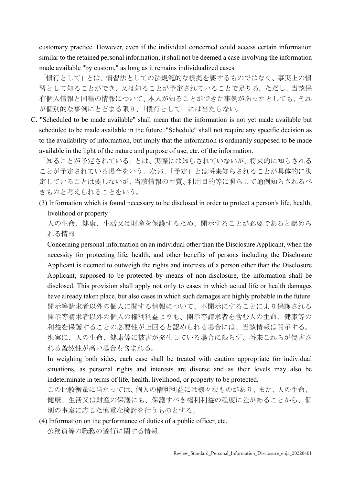customary practice. However, even if the individual concerned could access certain information similar to the retained personal information, it shall not be deemed a case involving the information made available "by custom," as long as it remains individualized cases.

「慣行として」とは、慣習法としての法規範的な根拠を要するものではなく、事実上の慣 習として知ることができ、又は知ることが予定されていることで足りる。ただし、当該保 有個人情報と同種の情報について、本人が知ることができた事例があったとしても、それ が個別的な事例にとどまる限り、「慣行として」には当たらない。

C. "Scheduled to be made available" shall mean that the information is not yet made available but scheduled to be made available in the future. "Schedule" shall not require any specific decision as to the availability of information, but imply that the information is ordinarily supposed to be made available in the light of the nature and purpose of use, etc. of the information.

「知ることが予定されている」とは、実際には知らされていないが、将来的に知らされる ことが予定されている場合をいう。なお、「予定」とは将来知らされることが具体的に決 定していることは要しないが、当該情報の性質、利用目的等に照らして通例知らされるべ きものと考えられることをいう。

(3) Information which is found necessary to be disclosed in order to protect a person's life, health, livelihood or property

人の生命、健康、生活又は財産を保護するため、開示することが必要であると認めら れる情報

Concerning personal information on an individual other than the Disclosure Applicant, when the necessity for protecting life, health, and other benefits of persons including the Disclosure Applicant is deemed to outweigh the rights and interests of a person other than the Disclosure Applicant, supposed to be protected by means of non-disclosure, the information shall be disclosed. This provision shall apply not only to cases in which actual life or health damages have already taken place, but also cases in which such damages are highly probable in the future. 開示等請求者以外の個人に関する情報について、不開示にすることにより保護される 開示等請求者以外の個人の権利利益よりも、開示等請求者を含む人の生命、健康等の 利益を保護することの必要性が上回ると認められる場合には、当該情報は開示する。 現実に、人の生命、健康等に被害が発生している場合に限らず、将来これらが侵害さ れる蓋然性が高い場合も含まれる。

In weighing both sides, each case shall be treated with caution appropriate for individual situations, as personal rights and interests are diverse and as their levels may also be indeterminate in terms of life, health, livelihood, or property to be protected.

この比較衡量に当たっては、個人の権利利益には様々なものがあり、また、人の生命、 健康、生活又は財産の保護にも、保護すべき権利利益の程度に差があることから、個 別の事案に応じた慎重な検討を行うものとする。

(4) Information on the performance of duties of a public officer, etc. 公務員等の職務の遂行に関する情報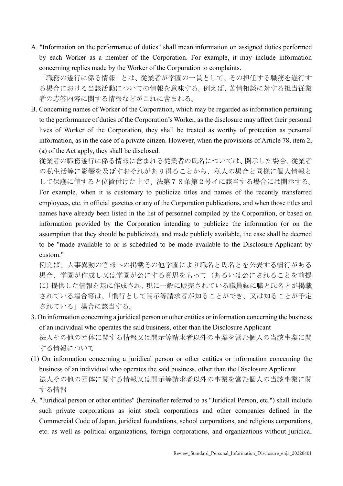A. "Information on the performance of duties" shall mean information on assigned duties performed by each Worker as a member of the Corporation. For example, it may include information concerning replies made by the Worker of the Corporation to complaints.

「職務の遂行に係る情報」とは、従業者が学園の一員として、その担任する職務を遂行す る場合における当該活動についての情報を意味する。例えば、苦情相談に対する担当従業 者の応答内容に関する情報などがこれに含まれる。

B. Concerning names of Worker of the Corporation, which may be regarded as information pertaining to the performance of duties of the Corporation's Worker, as the disclosure may affect their personal lives of Worker of the Corporation, they shall be treated as worthy of protection as personal information, as in the case of a private citizen. However, when the provisions of Article 78, item 2, (a) of the Act apply, they shall be disclosed.

従業者の職務遂行に係る情報に含まれる従業者の氏名については、開示した場合、従業者 の私生活等に影響を及ぼすおそれがあり得ることから、私人の場合と同様に個人情報と して保護に値すると位置付けた上で、法第78条第2号イに該当する場合には開示する。

For example, when it is customary to publicize titles and names of the recently transferred employees, etc. in official gazettes or any of the Corporation publications, and when those titles and names have already been listed in the list of personnel compiled by the Corporation, or based on information provided by the Corporation intending to publicize the information (or on the assumption that they should be publicized), and made publicly available, the case shall be deemed to be "made available to or is scheduled to be made available to the Disclosure Applicant by custom."

例えば、人事異動の官報への掲載その他学園により職名と氏名とを公表する慣行がある 場合、学園が作成し又は学園が公にする意思をもって(あるいは公にされることを前提 に)提供した情報を基に作成され、現に一般に販売されている職員録に職と氏名とが掲載 されている場合等は、「慣行として開示等請求者が知ることができ、又は知ることが予定 されている」場合に該当する。

- 3. On information concerning a juridical person or other entities or information concerning the business of an individual who operates the said business, other than the Disclosure Applicant 法人その他の団体に関する情報又は開示等請求者以外の事業を営む個人の当該事業に関 する情報について
- (1) On information concerning a juridical person or other entities or information concerning the business of an individual who operates the said business, other than the Disclosure Applicant 法人その他の団体に関する情報又は開示等請求者以外の事業を営む個人の当該事業に関 する情報
- A. "Juridical person or other entities" (hereinafter referred to as "Juridical Person, etc.") shall include such private corporations as joint stock corporations and other companies defined in the Commercial Code of Japan, juridical foundations, school corporations, and religious corporations, etc. as well as political organizations, foreign corporations, and organizations without juridical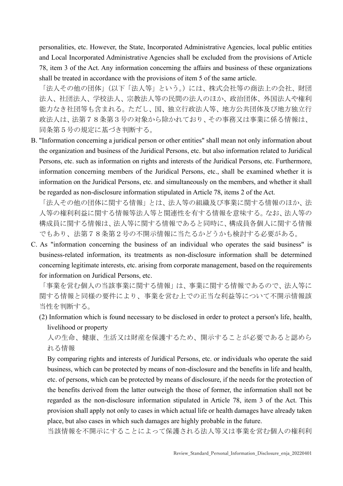personalities, etc. However, the State, Incorporated Administrative Agencies, local public entities and Local Incorporated Administrative Agencies shall be excluded from the provisions of Article 78, item 3 of the Act. Any information concerning the affairs and business of these organizations shall be treated in accordance with the provisions of item 5 of the same article.

「法人その他の団体」(以下「法人等」という。)には、株式会社等の商法上の会社、財団 法人、社団法人、学校法人、宗教法人等の民間の法人のほか、政治団体、外国法人や権利 能力なき社団等も含まれる。ただし、国、独立行政法人等、地方公共団体及び地方独立行 政法人は、法第78条第3号の対象から除かれており、その事務又は事業に係る情報は、 同条第5号の規定に基づき判断する。

B. "Information concerning a juridical person or other entities" shall mean not only information about the organization and business of the Juridical Persons, etc. but also information related to Juridical Persons, etc. such as information on rights and interests of the Juridical Persons, etc. Furthermore, information concerning members of the Juridical Persons, etc., shall be examined whether it is information on the Juridical Persons, etc. and simultaneously on the members, and whether it shall be regarded as non-disclosure information stipulated in Article 78, items 2 of the Act.

「法人その他の団体に関する情報」とは、法人等の組織及び事業に関する情報のほか、法 人等の権利利益に関する情報等法人等と関連性を有する情報を意味する。なお、法人等の 構成員に関する情報は、法人等に関する情報であると同時に、構成員各個人に関する情報 でもあり、法第78条第2号の不開示情報に当たるかどうかも検討する必要がある。

C. As "information concerning the business of an individual who operates the said business" is business-related information, its treatments as non-disclosure information shall be determined concerning legitimate interests, etc. arising from corporate management, based on the requirements for information on Juridical Persons, etc.

「事業を営む個人の当該事業に関する情報」は、事業に関する情報であるので、法人等に 関する情報と同様の要件により、事業を営む上での正当な利益等について不開示情報該 当性を判断する。

(2) Information which is found necessary to be disclosed in order to protect a person's life, health, livelihood or property

人の生命、健康、生活又は財産を保護するため、開示することが必要であると認めら れる情報

By comparing rights and interests of Juridical Persons, etc. or individuals who operate the said business, which can be protected by means of non-disclosure and the benefits in life and health, etc. of persons, which can be protected by means of disclosure, if the needs for the protection of the benefits derived from the latter outweigh the those of former, the information shall not be regarded as the non-disclosure information stipulated in Article 78, item 3 of the Act. This provision shall apply not only to cases in which actual life or health damages have already taken place, but also cases in which such damages are highly probable in the future.

当該情報を不開示にすることによって保護される法人等又は事業を営む個人の権利利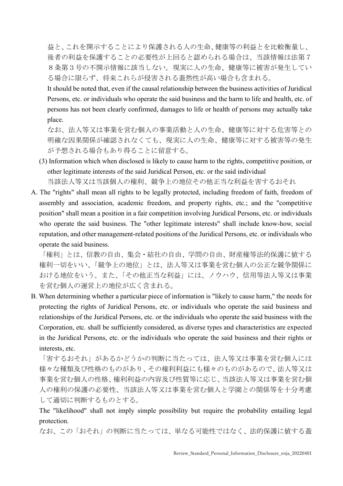益と、これを開示することにより保護される人の生命、健康等の利益とを比較衡量し、 後者の利益を保護することの必要性が上回ると認められる場合は、当該情報は法第7 8条第3号の不開示情報に該当しない。現実に人の生命、健康等に被害が発生してい る場合に限らず、将来これらが侵害される蓋然性が高い場合も含まれる。

It should be noted that, even if the causal relationship between the business activities of Juridical Persons, etc. or individuals who operate the said business and the harm to life and health, etc. of persons has not been clearly confirmed, damages to life or health of persons may actually take place.

なお、法人等又は事業を営む個人の事業活動と人の生命、健康等に対する危害等との 明確な因果関係が確認されなくても、現実に人の生命、健康等に対する被害等の発生 が予想される場合もあり得ることに留意する。

- (3) Information which when disclosed is likely to cause harm to the rights, competitive position, or other legitimate interests of the said Juridical Person, etc. or the said individual 当該法人等又は当該個人の権利、競争上の地位その他正当な利益を害するおそれ
- A. The "rights" shall mean all rights to be legally protected, including freedom of faith, freedom of assembly and association, academic freedom, and property rights, etc.; and the "competitive position" shall mean a position in a fair competition involving Juridical Persons, etc. or individuals who operate the said business. The "other legitimate interests" shall include know-how, social reputation, and other management-related positions of the Juridical Persons, etc. or individuals who operate the said business.

「権利」とは、信教の自由、集会・結社の自由、学問の自由、財産権等法的保護に値する 権利一切をいい、「競争上の地位」とは、法人等又は事業を営む個人の公正な競争関係に おける地位をいう。また、「その他正当な利益」には、ノウハウ、信用等法人等又は事業 を営む個人の運営上の地位が広く含まれる。

B. When determining whether a particular piece of information is "likely to cause harm," the needs for protecting the rights of Juridical Persons, etc. or individuals who operate the said business and relationships of the Juridical Persons, etc. or the individuals who operate the said business with the Corporation, etc. shall be sufficiently considered, as diverse types and characteristics are expected in the Juridical Persons, etc. or the individuals who operate the said business and their rights or interests, etc.

「害するおそれ」があるかどうかの判断に当たっては、法人等又は事業を営む個人には 様々な種類及び性格のものがあり、その権利利益にも様々のものがあるので、法人等又は 事業を営む個人の性格、権利利益の内容及び性質等に応じ、当該法人等又は事業を営む個 人の権利の保護の必要性、当該法人等又は事業を営む個人と学園との関係等を十分考慮 して適切に判断するものとする。

The "likelihood" shall not imply simple possibility but require the probability entailing legal protection.

なお、この「おそれ」の判断に当たっては、単なる可能性ではなく、法的保護に値する蓋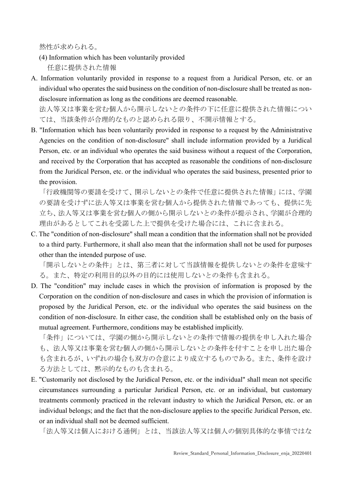然性が求められる。

- (4) Information which has been voluntarily provided 任意に提供された情報
- A. Information voluntarily provided in response to a request from a Juridical Person, etc. or an individual who operates the said business on the condition of non-disclosure shall be treated as nondisclosure information as long as the conditions are deemed reasonable.

法人等又は事業を営む個人から開示しないとの条件の下に任意に提供された情報につい ては、当該条件が合理的なものと認められる限り、不開示情報とする。

B. "Information which has been voluntarily provided in response to a request by the Administrative Agencies on the condition of non-disclosure" shall include information provided by a Juridical Person, etc. or an individual who operates the said business without a request of the Corporation, and received by the Corporation that has accepted as reasonable the conditions of non-disclosure from the Juridical Person, etc. or the individual who operates the said business, presented prior to the provision.

「行政機関等の要請を受けて、開示しないとの条件で任意に提供された情報」には、学園 の要請を受けずに法人等又は事業を営む個人から提供された情報であっても、提供に先 立ち、法人等又は事業を営む個人の側から開示しないとの条件が提示され、学園が合理的 理由があるとしてこれを受諾した上で提供を受けた場合には、これに含まれる。

C. The "condition of non-disclosure" shall mean a condition that the information shall not be provided to a third party. Furthermore, it shall also mean that the information shall not be used for purposes other than the intended purpose of use.

「開示しないとの条件」とは、第三者に対して当該情報を提供しないとの条件を意味す る。また、特定の利用目的以外の目的には使用しないとの条件も含まれる。

D. The "condition" may include cases in which the provision of information is proposed by the Corporation on the condition of non-disclosure and cases in which the provision of information is proposed by the Juridical Person, etc. or the individual who operates the said business on the condition of non-disclosure. In either case, the condition shall be established only on the basis of mutual agreement. Furthermore, conditions may be established implicitly.

「条件」については、学園の側から開示しないとの条件で情報の提供を申し入れた場合 も、法人等又は事業を営む個人の側から開示しないとの条件を付すことを申し出た場合 も含まれるが、いずれの場合も双方の合意により成立するものである。また、条件を設け る方法としては、黙示的なものも含まれる。

E. "Customarily not disclosed by the Juridical Person, etc. or the individual" shall mean not specific circumstances surrounding a particular Juridical Person, etc. or an individual, but customary treatments commonly practiced in the relevant industry to which the Juridical Person, etc. or an individual belongs; and the fact that the non-disclosure applies to the specific Juridical Person, etc. or an individual shall not be deemed sufficient.

「法人等又は個人における通例」とは、当該法人等又は個人の個別具体的な事情ではな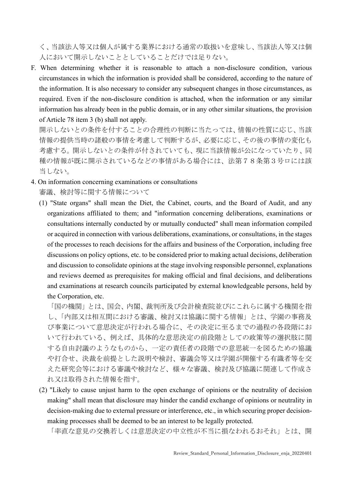く、当該法人等又は個人が属する業界における通常の取扱いを意味し、当該法人等又は個 人において開示しないこととしていることだけでは足りない。

F. When determining whether it is reasonable to attach a non-disclosure condition, various circumstances in which the information is provided shall be considered, according to the nature of the information. It is also necessary to consider any subsequent changes in those circumstances, as required. Even if the non-disclosure condition is attached, when the information or any similar information has already been in the public domain, or in any other similar situations, the provision of Article 78 item 3 (b) shall not apply.

開示しないとの条件を付することの合理性の判断に当たっては、情報の性質に応じ、当該 情報の提供当時の諸般の事情を考慮して判断するが、必要に応じ、その後の事情の変化も 考慮する。開示しないとの条件が付されていても、現に当該情報が公になっていたり、同 種の情報が既に開示されているなどの事情がある場合には、法第78条第3号ロには該 当しない。

- 4. On information concerning examinations or consultations 審議、検討等に関する情報について
	- (1) "State organs" shall mean the Diet, the Cabinet, courts, and the Board of Audit, and any organizations affiliated to them; and "information concerning deliberations, examinations or consultations internally conducted by or mutually conducted" shall mean information compiled or acquired in connection with various deliberations, examinations, or consultations, in the stages of the processes to reach decisions for the affairs and business of the Corporation, including free discussions on policy options, etc. to be considered prior to making actual decisions, deliberation and discussion to consolidate opinions at the stage involving responsible personnel, explanations and reviews deemed as prerequisites for making official and final decisions, and deliberations and examinations at research councils participated by external knowledgeable persons, held by the Corporation, etc.

「国の機関」とは、国会、内閣、裁判所及び会計検査院並びにこれらに属する機関を指 し、「内部又は相互間における審議、検討又は協議に関する情報」とは、学園の事務及 び事業について意思決定が行われる場合に、その決定に至るまでの過程の各段階にお いて行われている、例えば、具体的な意思決定の前段階としての政策等の選択肢に関 する自由討議のようなものから、一定の責任者の段階での意思統一を図るための協議 や打合せ、決裁を前提とした説明や検討、審議会等又は学園が開催する有識者等を交 えた研究会等における審議や検討など、様々な審議、検討及び協議に関連して作成さ れ又は取得された情報を指す。

(2) "Likely to cause unjust harm to the open exchange of opinions or the neutrality of decision making" shall mean that disclosure may hinder the candid exchange of opinions or neutrality in decision-making due to external pressure or interference, etc., in which securing proper decisionmaking processes shall be deemed to be an interest to be legally protected.

「率直な意見の交換若しくは意思決定の中立性が不当に損なわれるおそれ」とは、開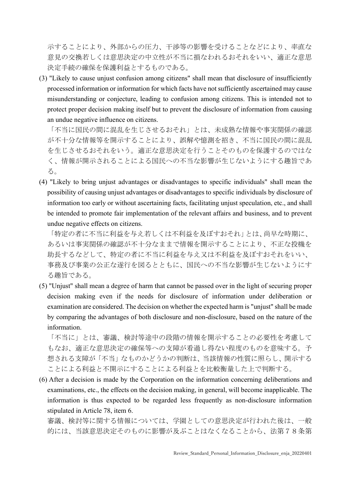示することにより、外部からの圧力、干渉等の影響を受けることなどにより、率直な 意見の交換若しくは意思決定の中立性が不当に損なわれるおそれをいい、適正な意思 決定手続の確保を保護利益とするものである。

(3) "Likely to cause unjust confusion among citizens" shall mean that disclosure of insufficiently processed information or information for which facts have not sufficiently ascertained may cause misunderstanding or conjecture, leading to confusion among citizens. This is intended not to protect proper decision making itself but to prevent the disclosure of information from causing an undue negative influence on citizens.

「不当に国民の間に混乱を生じさせるおそれ」とは、未成熟な情報や事実関係の確認 が不十分な情報等を開示することにより、誤解や憶測を招き、不当に国民の間に混乱 を生じさせるおそれをいう。適正な意思決定を行うことそのものを保護するのではな く、情報が開示されることによる国民への不当な影響が生じないようにする趣旨であ る。

(4) "Likely to bring unjust advantages or disadvantages to specific individuals" shall mean the possibility of causing unjust advantages or disadvantages to specific individuals by disclosure of information too early or without ascertaining facts, facilitating unjust speculation, etc., and shall be intended to promote fair implementation of the relevant affairs and business, and to prevent undue negative effects on citizens.

「特定の者に不当に利益を与え若しくは不利益を及ぼすおそれ」とは、尚早な時期に、 あるいは事実関係の確認が不十分なままで情報を開示することにより、不正な投機を 助長するなどして、特定の者に不当に利益を与え又は不利益を及ぼすおそれをいい、 事務及び事業の公正な遂行を図るとともに、国民への不当な影響が生じないようにす る趣旨である。

(5) "Unjust" shall mean a degree of harm that cannot be passed over in the light of securing proper decision making even if the needs for disclosure of information under deliberation or examination are considered. The decision on whether the expected harm is "unjust" shall be made by comparing the advantages of both disclosure and non-disclosure, based on the nature of the information.

「不当に」とは、審議、検討等途中の段階の情報を開示することの必要性を考慮して もなお、適正な意思決定の確保等への支障が看過し得ない程度のものを意味する。予 想される支障が「不当」なものかどうかの判断は、当該情報の性質に照らし、開示する ことによる利益と不開示にすることによる利益とを比較衡量した上で判断する。

(6) After a decision is made by the Corporation on the information concerning deliberations and examinations, etc., the effects on the decision making, in general, will become inapplicable. The information is thus expected to be regarded less frequently as non-disclosure information stipulated in Article 78, item 6.

審議、検討等に関する情報については、学園としての意思決定が行われた後は、一般 的には、当該意思決定そのものに影響が及ぶことはなくなることから、法第78条第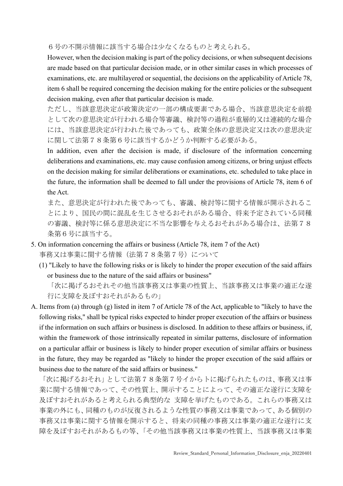6号の不開示情報に該当する場合は少なくなるものと考えられる。

However, when the decision making is part of the policy decisions, or when subsequent decisions are made based on that particular decision made, or in other similar cases in which processes of examinations, etc. are multilayered or sequential, the decisions on the applicability of Article 78, item 6 shall be required concerning the decision making for the entire policies or the subsequent decision making, even after that particular decision is made.

ただし、当該意思決定が政策決定の一部の構成要素である場合、当該意思決定を前提 として次の意思決定が行われる場合等審議、検討等の過程が重層的又は連続的な場合 には、当該意思決定が行われた後であっても、政策全体の意思決定又は次の意思決定 に関して法第78条第6号に該当するかどうか判断する必要がある。

In addition, even after the decision is made, if disclosure of the information concerning deliberations and examinations, etc. may cause confusion among citizens, or bring unjust effects on the decision making for similar deliberations or examinations, etc. scheduled to take place in the future, the information shall be deemed to fall under the provisions of Article 78, item 6 of the Act.

また、意思決定が行われた後であっても、審議、検討等に関する情報が開示されるこ とにより、国民の間に混乱を生じさせるおそれがある場合、将来予定されている同種 の審議、検討等に係る意思決定に不当な影響を与えるおそれがある場合は、法第78 条第6号に該当する。

- 5. On information concerning the affairs or business (Article 78, item 7 of the Act) 事務又は事業に関する情報(法第78条第7号)について
	- (1) "Likely to have the following risks or is likely to hinder the proper execution of the said affairs or business due to the nature of the said affairs or business"

「次に掲げるおそれその他当該事務又は事業の性質上、当該事務又は事業の適正な遂 行に支障を及ぼすおそれがあるもの」

A. Items from (a) through (g) listed in item 7 of Article 78 of the Act, applicable to "likely to have the following risks," shall be typical risks expected to hinder proper execution of the affairs or business if the information on such affairs or business is disclosed. In addition to these affairs or business, if, within the framework of those intrinsically repeated in similar patterns, disclosure of information on a particular affair or business is likely to hinder proper execution of similar affairs or business in the future, they may be regarded as "likely to hinder the proper execution of the said affairs or business due to the nature of the said affairs or business."

「次に掲げるおそれ」として法第78条第7号イからトに掲げられたものは、事務又は事 業に関する情報であって、その性質上、開示することによって、その適正な遂行に支障を 及ぼすおそれがあると考えられる典型的な 支障を挙げたものである。これらの事務又は 事業の外にも、同種のものが反復されるような性質の事務又は事業であって、ある個別の 事務又は事業に関する情報を開示すると、将来の同種の事務又は事業の適正な遂行に支 障を及ぼすおそれがあるもの等、「その他当該事務又は事業の性質上、当該事務又は事業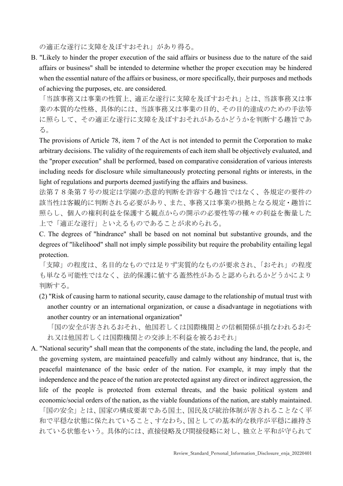の適正な遂行に支障を及ぼすおそれ」があり得る。

B. "Likely to hinder the proper execution of the said affairs or business due to the nature of the said affairs or business" shall be intended to determine whether the proper execution may be hindered when the essential nature of the affairs or business, or more specifically, their purposes and methods of achieving the purposes, etc. are considered.

「当該事務又は事業の性質上、適正な遂行に支障を及ぼすおそれ」とは、当該事務又は事 業の本質的な性格、具体的には、当該事務又は事業の目的、その目的達成のための手法等 に照らして、その適正な遂行に支障を及ぼすおそれがあるかどうかを判断する趣旨であ る。

The provisions of Article 78, item 7 of the Act is not intended to permit the Corporation to make arbitrary decisions. The validity of the requirements of each item shall be objectively evaluated, and the "proper execution" shall be performed, based on comparative consideration of various interests including needs for disclosure while simultaneously protecting personal rights or interests, in the light of regulations and purports deemed justifying the affairs and business.

法第78条第7号の規定は学園の恣意的判断を許容する趣旨ではなく、各規定の要件の 該当性は客観的に判断される必要があり、また、事務又は事業の根拠となる規定・趣旨に 照らし、個人の権利利益を保護する観点からの開示の必要性等の種々の利益を衡量した 上で「適正な遂行」といえるものであることが求められる。

C. The degrees of "hindrance" shall be based on not nominal but substantive grounds, and the degrees of "likelihood" shall not imply simple possibility but require the probability entailing legal protection.

「支障」の程度は、名目的なものでは足りず実質的なものが要求され、「おそれ」の程度 も単なる可能性ではなく、法的保護に値する蓋然性があると認められるかどうかにより 判断する。

(2) "Risk of causing harm to national security, cause damage to the relationship of mutual trust with another country or an international organization, or cause a disadvantage in negotiations with another country or an international organization"

「国の安全が害されるおそれ、他国若しくは国際機関との信頼関係が損なわれるおそ れ又は他国若しくは国際機関との交渉上不利益を被るおそれ」

A. "National security" shall mean that the components of the state, including the land, the people, and the governing system, are maintained peacefully and calmly without any hindrance, that is, the peaceful maintenance of the basic order of the nation. For example, it may imply that the independence and the peace of the nation are protected against any direct or indirect aggression, the life of the people is protected from external threats, and the basic political system and economic/social orders of the nation, as the viable foundations of the nation, are stably maintained.

「国の安全」とは、国家の構成要素である国土、国民及び統治体制が害されることなく平 和で平穏な状態に保たれていること、すなわち、国としての基本的な秩序が平穏に維持さ れている状態をいう。具体的には、直接侵略及び間接侵略に対し、独立と平和が守られて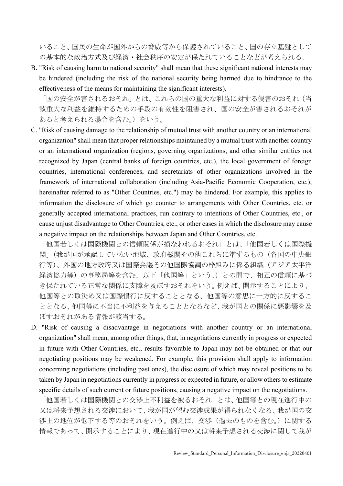いること、国民の生命が国外からの脅威等から保護されていること、国の存立基盤として の基本的な政治方式及び経済・社会秩序の安定が保たれていることなどが考えられる。

B. "Risk of causing harm to national security" shall mean that these significant national interests may be hindered (including the risk of the national security being harmed due to hindrance to the effectiveness of the means for maintaining the significant interests).

「国の安全が害されるおそれ」とは、これらの国の重大な利益に対する侵害のおそれ(当 該重大な利益を維持するための手段の有効性を阻害され、国の安全が害されるおそれが あると考えられる場合を含む。)をいう。

C. "Risk of causing damage to the relationship of mutual trust with another country or an international organization" shall mean that proper relationships maintained by a mutual trust with another country or an international organization (regions, governing organizations, and other similar entities not recognized by Japan (central banks of foreign countries, etc.), the local government of foreign countries, international conferences, and secretariats of other organizations involved in the framework of international collaboration (including Asia-Pacific Economic Cooperation, etc.); hereinafter referred to as "Other Countries, etc.") may be hindered. For example, this applies to information the disclosure of which go counter to arrangements with Other Countries, etc. or generally accepted international practices, run contrary to intentions of Other Countries, etc., or cause unjust disadvantage to Other Countries, etc., or other cases in which the disclosure may cause a negative impact on the relationships between Japan and Other Countries, etc.

「他国若しくは国際機関との信頼関係が損なわれるおそれ」とは、「他国若しくは国際機 関」(我が国が承認していない地域、政府機関その他これらに準ずるもの(各国の中央銀 行等)、外国の地方政府又は国際会議その他国際協調の枠組みに係る組織(アジア太平洋 経済協力等)の事務局等を含む。以下「他国等」という。)との間で、相互の信頼に基づ き保たれている正常な関係に支障を及ぼすおそれをいう。例えば、開示することにより、 他国等との取決め又は国際慣行に反することとなる、他国等の意思に一方的に反するこ ととなる、他国等に不当に不利益を与えることとなるなど、我が国との関係に悪影響を及 ぼすおそれがある情報が該当する。

D. "Risk of causing a disadvantage in negotiations with another country or an international organization" shall mean, among other things, that, in negotiations currently in progress or expected in future with Other Countries, etc., results favorable to Japan may not be obtained or that our negotiating positions may be weakened. For example, this provision shall apply to information concerning negotiations (including past ones), the disclosure of which may reveal positions to be taken by Japan in negotiations currently in progress or expected in future, or allow others to estimate specific details of such current or future positions, causing a negative impact on the negotiations.

「他国若しくは国際機関との交渉上不利益を被るおそれ」とは、他国等との現在進行中の 又は将来予想される交渉において、我が国が望む交渉成果が得られなくなる、我が国の交 渉上の地位が低下する等のおそれをいう。例えば、交渉(過去のものを含む。)に関する 情報であって、開示することにより、現在進行中の又は将来予想される交渉に関して我が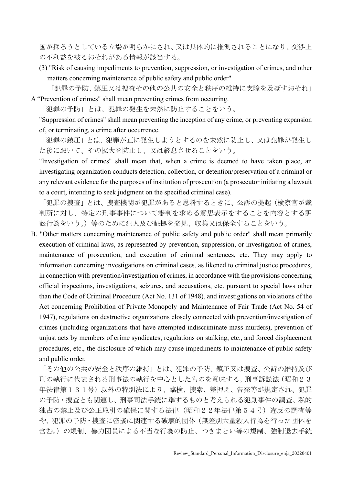国が採ろうとしている立場が明らかにされ、又は具体的に推測されることになり、交渉上 の不利益を被るおそれがある情報が該当する。

(3) "Risk of causing impediments to prevention, suppression, or investigation of crimes, and other matters concerning maintenance of public safety and public order"

「犯罪の予防、鎮圧又は捜査その他の公共の安全と秩序の維持に支障を及ぼすおそれ」

A "Prevention of crimes" shall mean preventing crimes from occurring.

「犯罪の予防」とは、犯罪の発生を未然に防止することをいう。

"Suppression of crimes" shall mean preventing the inception of any crime, or preventing expansion of, or terminating, a crime after occurrence.

「犯罪の鎮圧」とは、犯罪が正に発生しようとするのを未然に防止し、又は犯罪が発生し た後において、その拡大を防止し、又は終息させることをいう。

"Investigation of crimes" shall mean that, when a crime is deemed to have taken place, an investigating organization conducts detection, collection, or detention/preservation of a criminal or any relevant evidence for the purposes of institution of prosecution (a prosecutor initiating a lawsuit to a court, intending to seek judgment on the specified criminal case).

「犯罪の捜査」とは、捜査機関が犯罪があると思料するときに、公訴の提起(検察官が裁 判所に対し、特定の刑事事件について審判を求める意思表示をすることを内容とする訴 訟行為をいう。)等のために犯人及び証拠を発見、収集又は保全することをいう。

B. "Other matters concerning maintenance of public safety and public order" shall mean primarily execution of criminal laws, as represented by prevention, suppression, or investigation of crimes, maintenance of prosecution, and execution of criminal sentences, etc. They may apply to information concerning investigations on criminal cases, as likened to criminal justice procedures, in connection with prevention/investigation of crimes, in accordance with the provisions concerning official inspections, investigations, seizures, and accusations, etc. pursuant to special laws other than the Code of Criminal Procedure (Act No. 131 of 1948), and investigations on violations of the Act concerning Prohibition of Private Monopoly and Maintenance of Fair Trade (Act No. 54 of 1947), regulations on destructive organizations closely connected with prevention/investigation of crimes (including organizations that have attempted indiscriminate mass murders), prevention of unjust acts by members of crime syndicates, regulations on stalking, etc., and forced displacement procedures, etc., the disclosure of which may cause impediments to maintenance of public safety and public order.

「その他の公共の安全と秩序の維持」とは、犯罪の予防、鎮圧又は捜査、公訴の維持及び 刑の執行に代表される刑事法の執行を中心としたものを意味する。刑事訴訟法(昭和23 年法律第131号)以外の特別法により、臨検、捜索、差押え、告発等が規定され、犯罪 の予防・捜査とも関連し、刑事司法手続に準ずるものと考えられる犯則事件の調査、私的 独占の禁止及び公正取引の確保に関する法律(昭和22年法律第54号)違反の調査等 や、犯罪の予防・捜査に密接に関連する破壊的団体(無差別大量殺人行為を行った団体を 含む。)の規制、暴力団員による不当な行為の防止、つきまとい等の規制、強制退去手続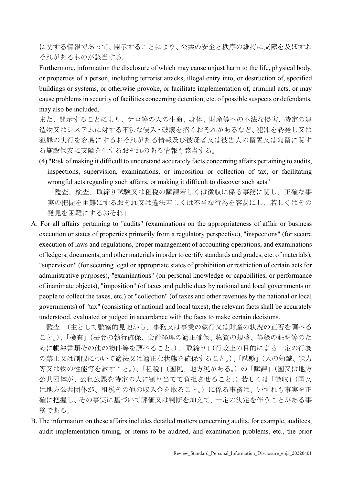に関する情報であって、開示することにより、公共の安全と秩序の維持に支障を及ぼすお それがあるものが該当する。

Furthermore, information the disclosure of which may cause unjust harm to the life, physical body, or properties of a person, including terrorist attacks, illegal entry into, or destruction of, specified buildings or systems, or otherwise provoke, or facilitate implementation of, criminal acts, or may cause problems in security of facilities concerning detention, etc. of possible suspects or defendants, may also be included.

また、開示することにより、テロ等の人の生命、身体、財産等への不法な侵害、特定の建 造物又はシステムに対する不法な侵入・破壊を招くおそれがあるなど、犯罪を誘発し又は 犯罪の実行を容易にするおそれがある情報及び被疑者又は被告人の留置又は勾留に関す る施設保安に支障を生ずるおそれのある情報も該当する。

(4) "Risk of making it difficult to understand accurately facts concerning affairs pertaining to audits, inspections, supervision, examinations, or imposition or collection of tax, or facilitating wrongful acts regarding such affairs, or making it difficult to discover such acts"

「監査、検査、取締り試験又は租税の賦課若しくは徴収に係る事務に関し、正確な事 実の把握を困難にするおそれ又は違法若しくは不当な行為を容易にし、若しくはその 発見を困難にするおそれ」

A. For all affairs pertaining to "audits" (examinations on the appropriateness of affair or business execution or states of properties primarily from a regulatory perspective), "inspections" (for secure execution of laws and regulations, proper management of accounting operations, and examinations of ledgers, documents, and other materials in order to certify standards and grades, etc. of materials), "supervision" (for securing legal or appropriate states of prohibition or restriction of certain acts for administrative purposes), "examinations" (on personal knowledge or capabilities, or performance of inanimate objects), "imposition" (of taxes and public dues by national and local governments on people to collect the taxes, etc.) or "collection" (of taxes and other revenues by the national or local governments) of "tax" (consisting of national and local taxes), the relevant facts shall be accurately understood, evaluated or judged in accordance with the facts to make certain decisions.

「監査」(主として監察的見地から、事務又は事業の執行又は財産の状況の正否を調べる こと。)、「検査」(法令の執行確保、会計経理の適正確保、物資の規格、等級の証明等のた めに帳簿書類その他の物件等を調べること。)、「取締り」(行政上の目的による一定の行為 の禁止又は制限について適法又は適正な状態を確保すること。)、「試験」(人の知識、能力 等又は物の性能等を試すこと。)、「租税」(国税、地方税がある。)の「賦課」(国又は地方 公共団体が、公租公課を特定の人に割り当てて負担させること。)若しくは「徴収」(国又 は地方公共団体が、租税その他の収入金を取ること。)に係る事務は、いずれも事実を正 確に把握し、その事実に基づいて評価又は判断を加えて、一定の決定を伴うことがある事 務である。

B. The information on these affairs includes detailed matters concerning audits, for example, auditees, audit implementation timing, or items to be audited, and examination problems, etc., the prior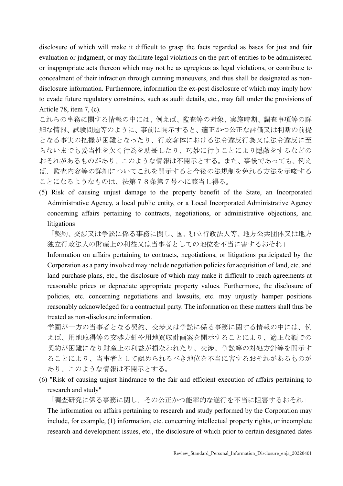disclosure of which will make it difficult to grasp the facts regarded as bases for just and fair evaluation or judgment, or may facilitate legal violations on the part of entities to be administered or inappropriate acts thereon which may not be as egregious as legal violations, or contribute to concealment of their infraction through cunning maneuvers, and thus shall be designated as nondisclosure information. Furthermore, information the ex-post disclosure of which may imply how to evade future regulatory constraints, such as audit details, etc., may fall under the provisions of Article 78, item 7, (c).

これらの事務に関する情報の中には、例えば、監査等の対象、実施時期、調査事項等の詳 細な情報、試験問題等のように、事前に開示すると、適正かつ公正な評価又は判断の前提 となる事実の把握が困難となったり、行政客体における法令違反行為又は法令違反に至 らないまでも妥当性を欠く行為を助長したり、巧妙に行うことにより隠蔽をするなどの おそれがあるものがあり、このような情報は不開示とする。また、事後であっても、例え ば、監査内容等の詳細についてこれを開示すると今後の法規制を免れる方法を示唆する ことになるようなものは、法第78条第7号ハに該当し得る。

(5) Risk of causing unjust damage to the property benefit of the State, an Incorporated Administrative Agency, a local public entity, or a Local Incorporated Administrative Agency concerning affairs pertaining to contracts, negotiations, or administrative objections, and litigations

「契約、交渉又は争訟に係る事務に関し、国、独立行政法人等、地方公共団体又は地方 独立行政法人の財産上の利益又は当事者としての地位を不当に害するおそれ」

Information on affairs pertaining to contracts, negotiations, or litigations participated by the Corporation as a party involved may include negotiation policies for acquisition of land, etc. and land purchase plans, etc., the disclosure of which may make it difficult to reach agreements at reasonable prices or depreciate appropriate property values. Furthermore, the disclosure of policies, etc. concerning negotiations and lawsuits, etc. may unjustly hamper positions reasonably acknowledged for a contractual party. The information on these matters shall thus be treated as non-disclosure information.

学園が一方の当事者となる契約、交渉又は争訟に係る事務に関する情報の中には、例 えば、用地取得等の交渉方針や用地買収計画案を開示することにより、適正な額での 契約が困難になり財産上の利益が損なわれたり、交渉、争訟等の対処方針等を開示す ることにより、当事者として認められるべき地位を不当に害するおそれがあるものが あり、このような情報は不開示とする。

(6) "Risk of causing unjust hindrance to the fair and efficient execution of affairs pertaining to research and study"

「調査研究に係る事務に関し、その公正かつ能率的な遂行を不当に阻害するおそれ」 The information on affairs pertaining to research and study performed by the Corporation may include, for example, (1) information, etc. concerning intellectual property rights, or incomplete research and development issues, etc., the disclosure of which prior to certain designated dates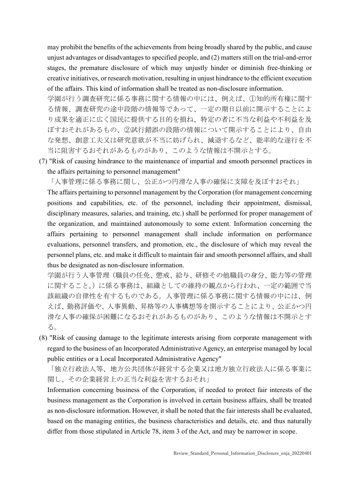may prohibit the benefits of the achievements from being broadly shared by the public, and cause unjust advantages or disadvantages to specified people, and (2) matters still on the trial-and-error stages, the premature disclosure of which may unjustly hinder or diminish free-thinking or creative initiatives, or research motivation, resulting in unjust hindrance to the efficient execution of the affairs. This kind of information shall be treated as non-disclosure information.

学園が行う調査研究に係る事務に関する情報の中には、例えば、①知的所有権に関す る情報、調査研究の途中段階の情報等であって、一定の期日以前に開示することによ り成果を適正に広く国民に提供する目的を損ね、特定の者に不当な利益や不利益を及 ぼすおそれがあるもの、②試行錯誤の段階の情報について開示することにより、自由 な発想、創意工夫又は研究意欲が不当に妨げられ、減退するなど、能率的な遂行を不 当に阻害するおそれがあるものがあり、このような情報は不開示とする。

(7) "Risk of causing hindrance to the maintenance of impartial and smooth personnel practices in the affairs pertaining to personnel management"

「人事管理に係る事務に関し、公正かつ円滑な人事の確保に支障を及ぼすおそれ」

The affairs pertaining to personnel management by the Corporation (for management concerning positions and capabilities, etc. of the personnel, including their appointment, dismissal, disciplinary measures, salaries, and training, etc.) shall be performed for proper management of the organization, and maintained autonomously to some extent. Information concerning the affairs pertaining to personnel management shall include information on performance evaluations, personnel transfers, and promotion, etc., the disclosure of which may reveal the personnel plans, etc. and make it difficult to maintain fair and smooth personnel affairs, and shall thus be designated as non-disclosure information.

学園が行う人事管理(職員の任免、懲戒、給与、研修その他職員の身分、能力等の管理 に関すること。)に係る事務は、組織としての維持の観点から行われ、一定の範囲で当 該組織の自律性を有するものである。人事管理に係る事務に関する情報の中には、例 えば、勤務評価や、人事異動、昇格等の人事構想等を開示することにより、公正かつ円 滑な人事の確保が困難になるおそれがあるものがあり、このような情報は不開示とす る。

(8) "Risk of causing damage to the legitimate interests arising from corporate management with regard to the business of an Incorporated Administrative Agency, an enterprise managed by local public entities or a Local Incorporated Administrative Agency"

「独立行政法人等、地方公共団体が経営する企業又は地方独立行政法人に係る事業に 関し、その企業経営上の正当な利益を害するおそれ」

Information concerning business of the Corporation, if needed to protect fair interests of the business management as the Corporation is involved in certain business affairs, shall be treated as non-disclosure information. However, it shall be noted that the fair interests shall be evaluated, based on the managing entities, the business characteristics and details, etc. and thus naturally differ from those stipulated in Article 78, item 3 of the Act, and may be narrower in scope.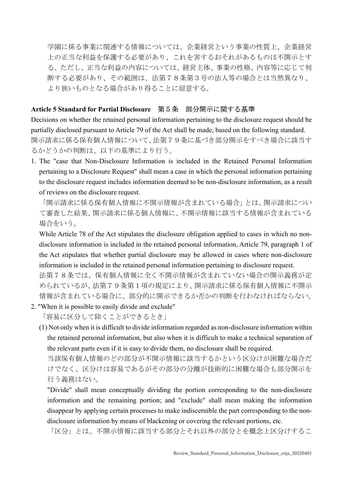学園に係る事業に関連する情報については、企業経営という事業の性質上、企業経営 上の正当な利益を保護する必要があり、これを害するおそれがあるものは不開示とす る。ただし、正当な利益の内容については、経営主体、事業の性格、内容等に応じて判 断する必要があり、その範囲は、法第78条第3号の法人等の場合とは当然異なり、 より狭いものとなる場合があり得ることに留意する。

#### Article 5 Standard for Partial Disclosure 第5条 部分開示に関する基準

Decisions on whether the retained personal information pertaining to the disclosure request should be partially disclosed pursuant to Article 79 of the Act shall be made, based on the following standard. 開示請求に係る保有個人情報について、法第79条に基づき部分開示をすべき場合に該当す るかどうかの判断は、以下の基準により行う。

1. The "case that Non-Disclosure Information is included in the Retained Personal Information pertaining to a Disclosure Request" shall mean a case in which the personal information pertaining to the disclosure request includes information deemed to be non-disclosure information, as a result of reviews on the disclosure request.

「開示請求に係る保有個人情報に不開示情報が含まれている場合」とは、開示請求につい て審査した結果、開示請求に係る個人情報に、不開示情報に該当する情報が含まれている 場合をいう。

While Article 78 of the Act stipulates the disclosure obligation applied to cases in which no nondisclosure information is included in the retained personal information, Article 79, paragraph 1 of the Act stipulates that whether partial disclosure may be allowed in cases where non-disclosure information is included in the retained personal information pertaining to disclosure request.

法第78条では、保有個人情報に全く不開示情報が含まれていない場合の開示義務が定 められているが、法第79条第1項の規定により、開示請求に係る保有個人情報に不開示 情報が含まれている場合に、部分的に開示できるか否かの判断を行わなければならない。

2. "When it is possible to easily divide and exclude"

「容易に区分して除くことができるとき」

(1) Not only when it is difficult to divide information regarded as non-disclosure information within the retained personal information, but also when it is difficult to make a technical separation of the relevant parts even if it is easy to divide them, no disclosure shall be required.

当該保有個人情報のどの部分が不開示情報に該当するかという区分けが困難な場合だ けでなく、区分けは容易であるがその部分の分離が技術的に困難な場合も部分開示を 行う義務はない。

"Divide" shall mean conceptually dividing the portion corresponding to the non-disclosure information and the remaining portion; and "exclude" shall mean making the information disappear by applying certain processes to make indiscernible the part corresponding to the nondisclosure information by means of blackening or covering the relevant portions, etc.

「区分」とは、不開示情報に該当する部分とそれ以外の部分とを概念上区分けするこ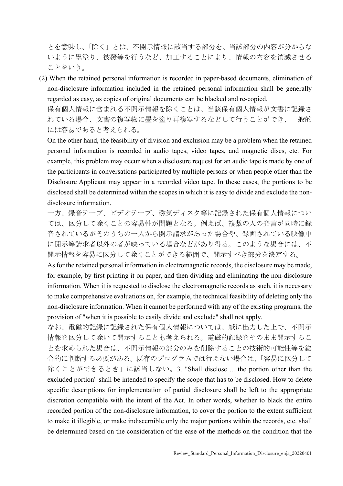とを意味し、「除く」とは、不開示情報に該当する部分を、当該部分の内容が分からな いように墨塗り、被覆等を行うなど、加工することにより、情報の内容を消滅させる ことをいう。

(2) When the retained personal information is recorded in paper-based documents, elimination of non-disclosure information included in the retained personal information shall be generally regarded as easy, as copies of original documents can be blacked and re-copied.

保有個人情報に含まれる不開示情報を除くことは、当該保有個人情報が文書に記録さ れている場合、文書の複写物に墨を塗り再複写するなどして行うことができ、一般的 には容易であると考えられる。

On the other hand, the feasibility of division and exclusion may be a problem when the retained personal information is recorded in audio tapes, video tapes, and magnetic discs, etc. For example, this problem may occur when a disclosure request for an audio tape is made by one of the participants in conversations participated by multiple persons or when people other than the Disclosure Applicant may appear in a recorded video tape. In these cases, the portions to be disclosed shall be determined within the scopes in which it is easy to divide and exclude the nondisclosure information.

一方、録音テープ、ビデオテープ、磁気ディスク等に記録された保有個人情報につい ては、区分して除くことの容易性が問題となる。例えば、複数の人の発言が同時に録 音されているがそのうちの一人から開示請求があった場合や、録画されている映像中 に開示等請求者以外の者が映っている場合などがあり得る。このような場合には、不 開示情報を容易に区分して除くことができる範囲で、開示すべき部分を決定する。

As for the retained personal information in electromagnetic records, the disclosure may be made, for example, by first printing it on paper, and then dividing and eliminating the non-disclosure information. When it is requested to disclose the electromagnetic records as such, it is necessary to make comprehensive evaluations on, for example, the technical feasibility of deleting only the non-disclosure information. When it cannot be performed with any of the existing programs, the provision of "when it is possible to easily divide and exclude" shall not apply.

なお、電磁的記録に記録された保有個人情報については、紙に出力した上で、不開示 情報を区分して除いて開示することも考えられる。電磁的記録をそのまま開示するこ とを求められた場合は、不開示情報の部分のみを削除することの技術的可能性等を総 合的に判断する必要がある。既存のプログラムでは行えない場合は、「容易に区分して 除くことができるとき」に該当しない。3. "Shall disclose ... the portion other than the excluded portion" shall be intended to specify the scope that has to be disclosed. How to delete specific descriptions for implementation of partial disclosure shall be left to the appropriate discretion compatible with the intent of the Act. In other words, whether to black the entire recorded portion of the non-disclosure information, to cover the portion to the extent sufficient to make it illegible, or make indiscernible only the major portions within the records, etc. shall be determined based on the consideration of the ease of the methods on the condition that the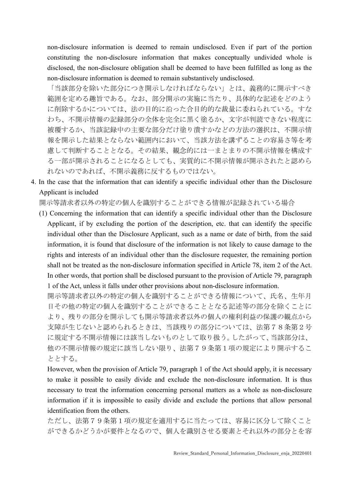non-disclosure information is deemed to remain undisclosed. Even if part of the portion constituting the non-disclosure information that makes conceptually undivided whole is disclosed, the non-disclosure obligation shall be deemed to have been fulfilled as long as the non-disclosure information is deemed to remain substantively undisclosed.

「当該部分を除いた部分につき開示しなければならない」とは、義務的に開示すべき 範囲を定める趣旨である。なお、部分開示の実施に当たり、具体的な記述をどのよう に削除するかについては、法の目的に沿った合目的的な裁量に委ねられている。すな わち、不開示情報の記録部分の全体を完全に黒く塗るか、文字が判読できない程度に 被覆するか、当該記録中の主要な部分だけ塗り潰すかなどの方法の選択は、不開示情 報を開示した結果とならない範囲内において、当該方法を講ずることの容易さ等を考 慮して判断することとなる。その結果、観念的には一まとまりの不開示情報を構成す る一部が開示されることになるとしても、実質的に不開示情報が開示されたと認めら れないのであれば、不開示義務に反するものではない。

4. In the case that the information that can identify a specific individual other than the Disclosure Applicant is included

開示等請求者以外の特定の個人を識別することができる情報が記録されている場合

(1) Concerning the information that can identify a specific individual other than the Disclosure Applicant, if by excluding the portion of the description, etc. that can identify the specific individual other than the Disclosure Applicant, such as a name or date of birth, from the said information, it is found that disclosure of the information is not likely to cause damage to the rights and interests of an individual other than the disclosure requester, the remaining portion shall not be treated as the non-disclosure information specified in Article 78, item 2 of the Act. In other words, that portion shall be disclosed pursuant to the provision of Article 79, paragraph 1 of the Act, unless it falls under other provisions about non-disclosure information.

開示等請求者以外の特定の個人を識別することができる情報について、氏名、生年月 日その他の特定の個人を識別することができることとなる記述等の部分を除くことに より、残りの部分を開示しても開示等請求者以外の個人の権利利益の保護の観点から 支障が生じないと認められるときは、当該残りの部分については、法第78条第2号 に規定する不開示情報には該当しないものとして取り扱う。したがって、当該部分は、 他の不開示情報の規定に該当しない限り、法第79条第1項の規定により開示するこ ととする。

However, when the provision of Article 79, paragraph 1 of the Act should apply, it is necessary to make it possible to easily divide and exclude the non-disclosure information. It is thus necessary to treat the information concerning personal matters as a whole as non-disclosure information if it is impossible to easily divide and exclude the portions that allow personal identification from the others.

ただし、法第79条第1項の規定を適用するに当たっては、容易に区分して除くこと ができるかどうかが要件となるので、個人を識別させる要素とそれ以外の部分とを容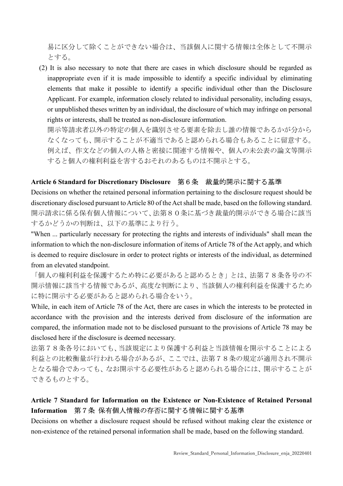易に区分して除くことができない場合は、当該個人に関する情報は全体として不開示 とする。

(2) It is also necessary to note that there are cases in which disclosure should be regarded as inappropriate even if it is made impossible to identify a specific individual by eliminating elements that make it possible to identify a specific individual other than the Disclosure Applicant. For example, information closely related to individual personality, including essays, or unpublished theses written by an individual, the disclosure of which may infringe on personal rights or interests, shall be treated as non-disclosure information.

開示等請求者以外の特定の個人を識別させる要素を除去し誰の情報であるかが分から なくなっても、開示することが不適当であると認められる場合もあることに留意する。 例えば、作文などの個人の人格と密接に関連する情報や、個人の未公表の論文等開示 すると個人の権利利益を害するおそれのあるものは不開示とする。

#### Article 6 Standard for Discretionary Disclosure 第6条 裁量的開示に関する基準

Decisions on whether the retained personal information pertaining to the disclosure request should be discretionary disclosed pursuant to Article 80 of the Act shall be made, based on the following standard. 開示請求に係る保有個人情報について、法第80条に基づき裁量的開示ができる場合に該当 するかどうかの判断は、以下の基準により行う。

"When ... particularly necessary for protecting the rights and interests of individuals" shall mean the information to which the non-disclosure information of items of Article 78 of the Act apply, and which is deemed to require disclosure in order to protect rights or interests of the individual, as determined from an elevated standpoint.

「個人の権利利益を保護するため特に必要があると認めるとき」とは、法第78条各号の不 開示情報に該当する情報であるが、高度な判断により、当該個人の権利利益を保護するため に特に開示する必要があると認められる場合をいう。

While, in each item of Article 78 of the Act, there are cases in which the interests to be protected in accordance with the provision and the interests derived from disclosure of the information are compared, the information made not to be disclosed pursuant to the provisions of Article 78 may be disclosed here if the disclosure is deemed necessary.

法第78条各号においても、当該規定により保護する利益と当該情報を開示することによる 利益との比較衡量が行われる場合があるが、ここでは、法第78条の規定が適用され不開示 となる場合であっても、なお開示する必要性があると認められる場合には、開示することが できるものとする。

### Article 7 Standard for Information on the Existence or Non-Existence of Retained Personal Information 第7条 保有個人情報の存否に関する情報に関する基準

Decisions on whether a disclosure request should be refused without making clear the existence or non-existence of the retained personal information shall be made, based on the following standard.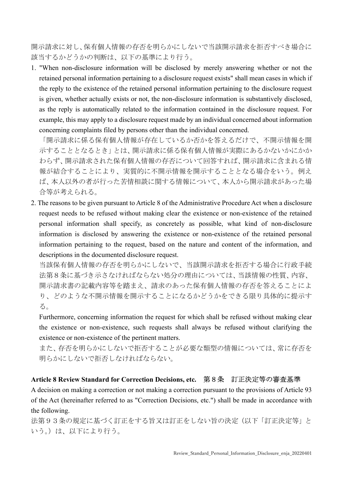開示請求に対し、保有個人情報の存否を明らかにしないで当該開示請求を拒否すべき場合に 該当するかどうかの判断は、以下の基準により行う。

1. "When non-disclosure information will be disclosed by merely answering whether or not the retained personal information pertaining to a disclosure request exists" shall mean cases in which if the reply to the existence of the retained personal information pertaining to the disclosure request is given, whether actually exists or not, the non-disclosure information is substantively disclosed, as the reply is automatically related to the information contained in the disclosure request. For example, this may apply to a disclosure request made by an individual concerned about information concerning complaints filed by persons other than the individual concerned.

「開示請求に係る保有個人情報が存在しているか否かを答えるだけで、不開示情報を開 示することとなるとき」とは、開示請求に係る保有個人情報が実際にあるかないかにかか わらず、開示請求された保有個人情報の存否について回答すれば、開示請求に含まれる情 報が結合することにより、実質的に不開示情報を開示することとなる場合をいう。例え ば、本人以外の者が行った苦情相談に関する情報について、本人から開示請求があった場 合等が考えられる。

2. The reasons to be given pursuant to Article 8 of the Administrative Procedure Act when a disclosure request needs to be refused without making clear the existence or non-existence of the retained personal information shall specify, as concretely as possible, what kind of non-disclosure information is disclosed by answering the existence or non-existence of the retained personal information pertaining to the request, based on the nature and content of the information, and descriptions in the documented disclosure request.

当該保有個人情報の存否を明らかにしないで、当該開示請求を拒否する場合に行政手続 法第8条に基づき示さなければならない処分の理由については、当該情報の性質、内容、 開示請求書の記載内容等を踏まえ、請求のあった保有個人情報の存否を答えることによ り、どのような不開示情報を開示することになるかどうかをできる限り具体的に提示す る。

Furthermore, concerning information the request for which shall be refused without making clear the existence or non-existence, such requests shall always be refused without clarifying the existence or non-existence of the pertinent matters.

また、存否を明らかにしないで拒否することが必要な類型の情報については、常に存否を 明らかにしないで拒否しなければならない。

#### Article 8 Review Standard for Correction Decisions, etc. 第8条 訂正決定等の審査基準

A decision on making a correction or not making a correction pursuant to the provisions of Article 93 of the Act (hereinafter referred to as "Correction Decisions, etc.") shall be made in accordance with the following.

法第93条の規定に基づく訂正をする旨又は訂正をしない旨の決定(以下「訂正決定等」と いう。)は、以下により行う。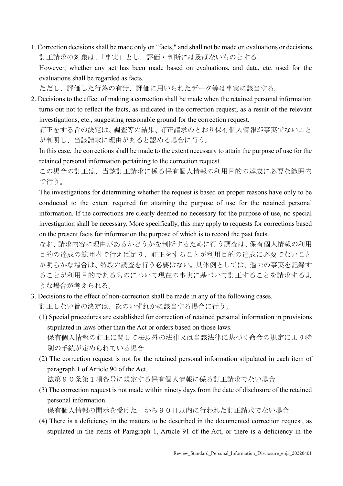1. Correction decisions shall be made only on "facts," and shall not be made on evaluations or decisions. 訂正請求の対象は、「事実」とし、評価・判断には及ばないものとする。 However, whether any act has been made based on evaluations, and data, etc. used for the evaluations shall be regarded as facts.

ただし、評価した行為の有無、評価に用いられたデータ等は事実に該当する。

2. Decisions to the effect of making a correction shall be made when the retained personal information turns out not to reflect the facts, as indicated in the correction request, as a result of the relevant investigations, etc., suggesting reasonable ground for the correction request.

訂正をする旨の決定は、調査等の結果、訂正請求のとおり保有個人情報が事実でないこと が判明し、当該請求に理由があると認める場合に行う。

In this case, the corrections shall be made to the extent necessary to attain the purpose of use for the retained personal information pertaining to the correction request.

この場合の訂正は、当該訂正請求に係る保有個人情報の利用目的の達成に必要な範囲内 で行う。

The investigations for determining whether the request is based on proper reasons have only to be conducted to the extent required for attaining the purpose of use for the retained personal information. If the corrections are clearly deemed no necessary for the purpose of use, no special investigation shall be necessary. More specifically, this may apply to requests for corrections based on the present facts for information the purpose of which is to record the past facts.

なお、請求内容に理由があるかどうかを判断するために行う調査は、保有個人情報の利用 目的の達成の範囲内で行えば足り、訂正をすることが利用目的の達成に必要でないこと が明らかな場合は、特段の調査を行う必要はない。具体例としては、過去の事実を記録す ることが利用目的であるものについて現在の事実に基づいて訂正することを請求するよ うな場合が考えられる。

- 3. Decisions to the effect of non-correction shall be made in any of the following cases. 訂正しない旨の決定は、次のいずれかに該当する場合に行う。
	- (1) Special procedures are established for correction of retained personal information in provisions stipulated in laws other than the Act or orders based on those laws. 保有個人情報の訂正に関して法以外の法律又は当該法律に基づく命令の規定により特 別の手続が定められている場合
	- (2) The correction request is not for the retained personal information stipulated in each item of paragraph 1 of Article 90 of the Act.

法第90条第1項各号に規定する保有個人情報に係る訂正請求でない場合

(3) The correction request is not made within ninety days from the date of disclosure of the retained personal information.

保有個人情報の開示を受けた日から90日以内に行われた訂正請求でない場合

(4) There is a deficiency in the matters to be described in the documented correction request, as stipulated in the items of Paragraph 1, Article 91 of the Act, or there is a deficiency in the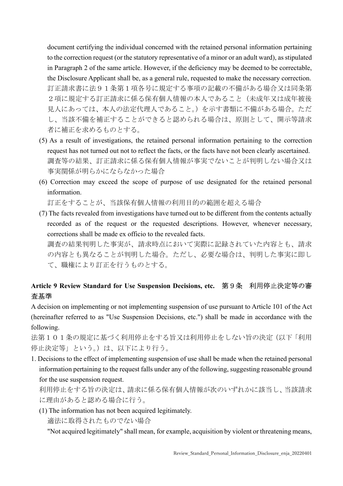document certifying the individual concerned with the retained personal information pertaining to the correction request (or the statutory representative of a minor or an adult ward), as stipulated in Paragraph 2 of the same article. However, if the deficiency may be deemed to be correctable, the Disclosure Applicant shall be, as a general rule, requested to make the necessary correction. 訂正請求書に法91条第1項各号に規定する事項の記載の不備がある場合又は同条第 2項に規定する訂正請求に係る保有個人情報の本人であること(未成年又は成年被後 見人にあっては、本人の法定代理人であること。)を示す書類に不備がある場合。ただ し、当該不備を補正することができると認められる場合は、原則として、開示等請求 者に補正を求めるものとする。

- (5) As a result of investigations, the retained personal information pertaining to the correction request has not turned out not to reflect the facts, or the facts have not been clearly ascertained. 調査等の結果、訂正請求に係る保有個人情報が事実でないことが判明しない場合又は 事実関係が明らかにならなかった場合
- (6) Correction may exceed the scope of purpose of use designated for the retained personal information.

訂正をすることが、当該保有個人情報の利用目的の範囲を超える場合

(7) The facts revealed from investigations have turned out to be different from the contents actually recorded as of the request or the requested descriptions. However, whenever necessary, corrections shall be made ex officio to the revealed facts. 調査の結果判明した事実が、請求時点において実際に記録されていた内容とも、請求

の内容とも異なることが判明した場合。ただし、必要な場合は、判明した事実に即し て、職権により訂正を行うものとする。

### Article 9 Review Standard for Use Suspension Decisions, etc. 第9条 利用停止決定等の審 査基準

A decision on implementing or not implementing suspension of use pursuant to Article 101 of the Act (hereinafter referred to as "Use Suspension Decisions, etc.") shall be made in accordance with the following.

法第101条の規定に基づく利用停止をする旨又は利用停止をしない旨の決定(以下「利用 停止決定等」という。)は、以下により行う。

1. Decisions to the effect of implementing suspension of use shall be made when the retained personal information pertaining to the request falls under any of the following, suggesting reasonable ground for the use suspension request.

利用停止をする旨の決定は、請求に係る保有個人情報が次のいずれかに該当し、当該請求 に理由があると認める場合に行う。

(1) The information has not been acquired legitimately.

適法に取得されたものでない場合

"Not acquired legitimately" shall mean, for example, acquisition by violent or threatening means,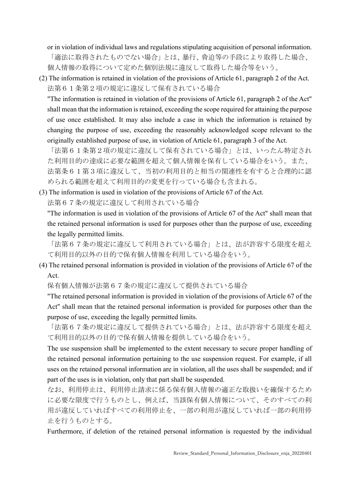or in violation of individual laws and regulations stipulating acquisition of personal information. 「適法に取得されたものでない場合」とは、暴行、脅迫等の手段により取得した場合、 個人情報の取得について定めた個別法規に違反して取得した場合等をいう。

(2) The information is retained in violation of the provisions of Article 61, paragraph 2 of the Act. 法第61条第2項の規定に違反して保有されている場合

"The information is retained in violation of the provisions of Article 61, paragraph 2 of the Act" shall mean that the information is retained, exceeding the scope required for attaining the purpose of use once established. It may also include a case in which the information is retained by changing the purpose of use, exceeding the reasonably acknowledged scope relevant to the originally established purpose of use, in violation of Article 61, paragraph 3 of the Act.

「法第61条第2項の規定に違反して保有されている場合」とは、いったん特定され た利用目的の達成に必要な範囲を超えて個人情報を保有している場合をいう。また、 法第条61第3項に違反して、当初の利用目的と相当の関連性を有すると合理的に認 められる範囲を超えて利用目的の変更を行っている場合も含まれる。

(3) The information is used in violation of the provisions of Article 67 of the Act. 法第67条の規定に違反して利用されている場合

"The information is used in violation of the provisions of Article 67 of the Act" shall mean that the retained personal information is used for purposes other than the purpose of use, exceeding the legally permitted limits.

「法第67条の規定に違反して利用されている場合」とは、法が許容する限度を超え て利用目的以外の目的で保有個人情報を利用している場合をいう。

(4) The retained personal information is provided in violation of the provisions of Article 67 of the Act.

保有個人情報が法第67条の規定に違反して提供されている場合

"The retained personal information is provided in violation of the provisions of Article 67 of the Act" shall mean that the retained personal information is provided for purposes other than the purpose of use, exceeding the legally permitted limits.

「法第67条の規定に違反して提供されている場合」とは、法が許容する限度を超え て利用目的以外の目的で保有個人情報を提供している場合をいう。

The use suspension shall be implemented to the extent necessary to secure proper handling of the retained personal information pertaining to the use suspension request. For example, if all uses on the retained personal information are in violation, all the uses shall be suspended; and if part of the uses is in violation, only that part shall be suspended.

なお、利用停止は、利用停止請求に係る保有個人情報の適正な取扱いを確保するため に必要な限度で行うものとし、例えば、当該保有個人情報について、そのすべての利 用が違反していればすべての利用停止を、一部の利用が違反していれば一部の利用停 止を行うものとする。

Furthermore, if deletion of the retained personal information is requested by the individual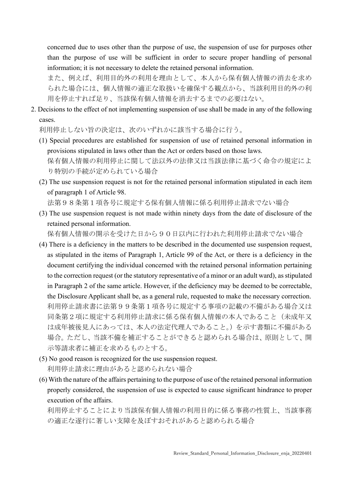concerned due to uses other than the purpose of use, the suspension of use for purposes other than the purpose of use will be sufficient in order to secure proper handling of personal information; it is not necessary to delete the retained personal information.

また、例えば、利用目的外の利用を理由として、本人から保有個人情報の消去を求め られた場合には、個人情報の適正な取扱いを確保する観点から、当該利用目的外の利 用を停止すれば足り、当該保有個人情報を消去するまでの必要はない。

2. Decisions to the effect of not implementing suspension of use shall be made in any of the following cases.

利用停止しない旨の決定は、次のいずれかに該当する場合に行う。

- (1) Special procedures are established for suspension of use of retained personal information in provisions stipulated in laws other than the Act or orders based on those laws. 保有個人情報の利用停止に関して法以外の法律又は当該法律に基づく命令の規定によ り特別の手続が定められている場合
- (2) The use suspension request is not for the retained personal information stipulated in each item of paragraph 1 of Article 98.

法第98条第1項各号に規定する保有個人情報に係る利用停止請求でない場合

(3) The use suspension request is not made within ninety days from the date of disclosure of the retained personal information.

保有個人情報の開示を受けた日から90日以内に行われた利用停止請求でない場合

- (4) There is a deficiency in the matters to be described in the documented use suspension request, as stipulated in the items of Paragraph 1, Article 99 of the Act, or there is a deficiency in the document certifying the individual concerned with the retained personal information pertaining to the correction request (or the statutory representative of a minor or an adult ward), as stipulated in Paragraph 2 of the same article. However, if the deficiency may be deemed to be correctable, the Disclosure Applicant shall be, as a general rule, requested to make the necessary correction. 利用停止請求書に法第99条第1項各号に規定する事項の記載の不備がある場合又は 同条第2項に規定する利用停止請求に係る保有個人情報の本人であること(未成年又 は成年被後見人にあっては、本人の法定代理人であること。)を示す書類に不備がある 場合。ただし、当該不備を補正することができると認められる場合は、原則として、開 示等請求者に補正を求めるものとする。
- (5) No good reason is recognized for the use suspension request. 利用停止請求に理由があると認められない場合
- (6) With the nature of the affairs pertaining to the purpose of use of the retained personal information properly considered, the suspension of use is expected to cause significant hindrance to proper execution of the affairs.

利用停止することにより当該保有個人情報の利用目的に係る事務の性質上、当該事務 の適正な遂行に著しい支障を及ぼすおそれがあると認められる場合